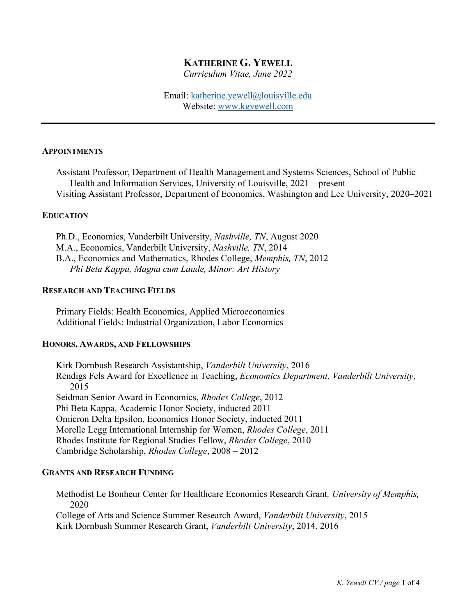# **KATHERINE G. YEWELL**

*Curriculum Vitae, June 2022*

Email: [katherine.yewell@louisville.edu](mailto:katherine.yewell@louisville.edu) Website: [www.kgyewell.com](http://www.kgyewell.com/)

## **APPOINTMENTS**

Assistant Professor, Department of Health Management and Systems Sciences, School of Public Health and Information Services, University of Louisville, 2021 – present Visiting Assistant Professor, Department of Economics, Washington and Lee University, 2020–2021

#### **EDUCATION**

Ph.D., Economics, Vanderbilt University, *Nashville, TN*, August 2020 M.A., Economics, Vanderbilt University, *Nashville, TN*, 2014 B.A., Economics and Mathematics, Rhodes College, *Memphis, TN*, 2012 *Phi Beta Kappa, Magna cum Laude, Minor: Art History*

## **RESEARCH AND TEACHING FIELDS**

Primary Fields: Health Economics, Applied Microeconomics Additional Fields: Industrial Organization, Labor Economics

#### **HONORS, AWARDS, AND FELLOWSHIPS**

Kirk Dornbush Research Assistantship, *Vanderbilt University*, 2016 Rendigs Fels Award for Excellence in Teaching, *Economics Department, Vanderbilt University*, 2015 Seidman Senior Award in Economics, *Rhodes College*, 2012 Phi Beta Kappa, Academic Honor Society, inducted 2011 Omicron Delta Epsilon, Economics Honor Society, inducted 2011 Morelle Legg International Internship for Women, *Rhodes College*, 2011 Rhodes Institute for Regional Studies Fellow, *Rhodes College*, 2010 Cambridge Scholarship, *Rhodes College*, 2008 – 2012

## **GRANTS AND RESEARCH FUNDING**

Methodist Le Bonheur Center for Healthcare Economics Research Grant*, University of Memphis,*  2020

College of Arts and Science Summer Research Award, *Vanderbilt University*, 2015 Kirk Dornbush Summer Research Grant, *Vanderbilt University*, 2014, 2016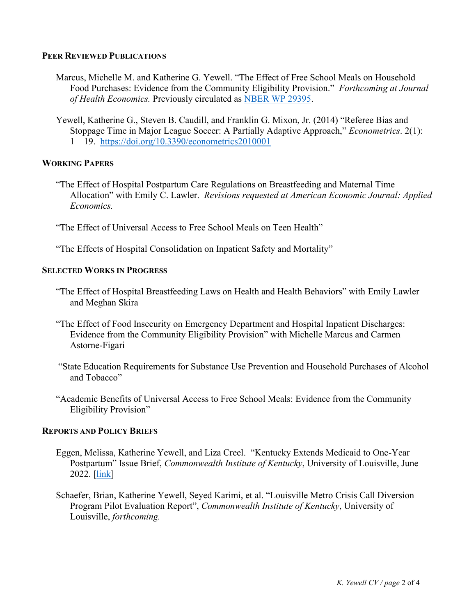## **PEER REVIEWED PUBLICATIONS**

- Marcus, Michelle M. and Katherine G. Yewell. "The Effect of Free School Meals on Household Food Purchases: Evidence from the Community Eligibility Provision." *Forthcoming at Journal of Health Economics.* Previously circulated as [NBER WP 29395.](https://www.nber.org/papers/w29395)
- Yewell, Katherine G., Steven B. Caudill, and Franklin G. Mixon, Jr. (2014) "Referee Bias and Stoppage Time in Major League Soccer: A Partially Adaptive Approach," *Econometrics*. 2(1): 1 – 19. <https://doi.org/10.3390/econometrics2010001>

# **WORKING PAPERS**

"The Effect of Hospital Postpartum Care Regulations on Breastfeeding and Maternal Time Allocation" with Emily C. Lawler. *Revisions requested at American Economic Journal: Applied Economics.* 

"The Effect of Universal Access to Free School Meals on Teen Health"

"The Effects of Hospital Consolidation on Inpatient Safety and Mortality"

## **SELECTED WORKS IN PROGRESS**

- "The Effect of Hospital Breastfeeding Laws on Health and Health Behaviors" with Emily Lawler and Meghan Skira
- "The Effect of Food Insecurity on Emergency Department and Hospital Inpatient Discharges: Evidence from the Community Eligibility Provision" with Michelle Marcus and Carmen Astorne-Figari
- "State Education Requirements for Substance Use Prevention and Household Purchases of Alcohol and Tobacco"
- "Academic Benefits of Universal Access to Free School Meals: Evidence from the Community Eligibility Provision"

# **REPORTS AND POLICY BRIEFS**

- Eggen, Melissa, Katherine Yewell, and Liza Creel. "Kentucky Extends Medicaid to One-Year Postpartum" Issue Brief, *Commonwealth Institute of Kentucky*, University of Louisville, June 2022. [\[link\]](https://louisville.edu/sphis/departments/cik/docs-and-pdfs-1/PostpartumMedicaid_FINAL.pdf)
- Schaefer, Brian, Katherine Yewell, Seyed Karimi, et al. "Louisville Metro Crisis Call Diversion Program Pilot Evaluation Report", *Commonwealth Institute of Kentucky*, University of Louisville, *forthcoming.*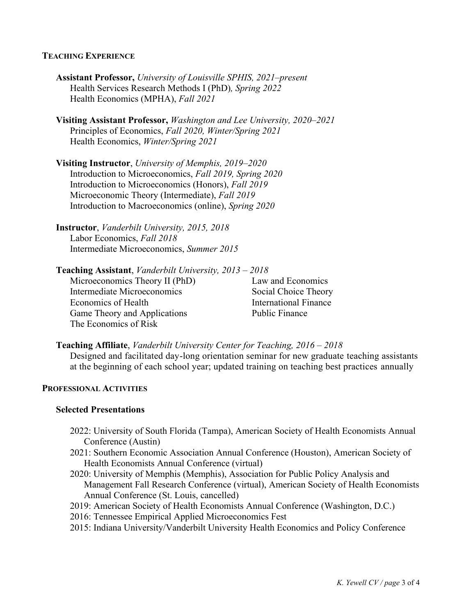## **TEACHING EXPERIENCE**

- **Assistant Professor,** *University of Louisville SPHIS, 2021*–*present* Health Services Research Methods I (PhD)*, Spring 2022* Health Economics (MPHA), *Fall 2021*
- **Visiting Assistant Professor,** *Washington and Lee University, 2020*–*2021* Principles of Economics, *Fall 2020, Winter/Spring 2021* Health Economics, *Winter/Spring 2021*

**Visiting Instructor**, *University of Memphis, 2019*–*2020* Introduction to Microeconomics, *Fall 2019, Spring 2020* Introduction to Microeconomics (Honors), *Fall 2019* Microeconomic Theory (Intermediate), *Fall 2019* Introduction to Macroeconomics (online), *Spring 2020*

- **Instructor**, *Vanderbilt University, 2015, 2018* Labor Economics, *Fall 2018* Intermediate Microeconomics, *Summer 2015*
- **Teaching Assistant**, *Vanderbilt University, 2013 – 2018*

Microeconomics Theory II (PhD) Law and Economics Intermediate Microeconomics Social Choice Theory Economics of Health International Finance Game Theory and Applications Public Finance The Economics of Risk

**Teaching Affiliate**, *Vanderbilt University Center for Teaching, 2016 – 2018* Designed and facilitated day-long orientation seminar for new graduate teaching assistants at the beginning of each school year; updated training on teaching best practices annually

# **PROFESSIONAL ACTIVITIES**

#### **Selected Presentations**

- 2022: University of South Florida (Tampa), American Society of Health Economists Annual Conference (Austin)
- 2021: Southern Economic Association Annual Conference (Houston), American Society of Health Economists Annual Conference (virtual)
- 2020: University of Memphis (Memphis), Association for Public Policy Analysis and Management Fall Research Conference (virtual), American Society of Health Economists Annual Conference (St. Louis, cancelled)
- 2019: American Society of Health Economists Annual Conference (Washington, D.C.)
- 2016: Tennessee Empirical Applied Microeconomics Fest
- 2015: Indiana University/Vanderbilt University Health Economics and Policy Conference